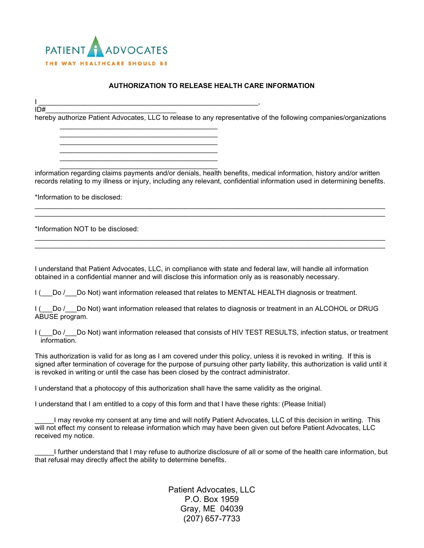

\_\_\_\_\_\_\_\_\_\_\_\_\_\_\_\_\_\_\_\_\_\_\_\_\_\_\_\_\_\_\_\_\_\_\_\_\_\_\_\_\_ \_\_\_\_\_\_\_\_\_\_\_\_\_\_\_\_\_\_\_\_\_\_\_\_\_\_\_\_\_\_\_\_\_\_\_\_\_\_\_\_\_ \_\_\_\_\_\_\_\_\_\_\_\_\_\_\_\_\_\_\_\_\_\_\_\_\_\_\_\_\_\_\_\_\_\_\_\_\_\_\_\_\_ \_\_\_\_\_\_\_\_\_\_\_\_\_\_\_\_\_\_\_\_\_\_\_\_\_\_\_\_\_\_\_\_\_\_\_\_\_\_\_\_\_ \_\_\_\_\_\_\_\_\_\_\_\_\_\_\_\_\_\_\_\_\_\_\_\_\_\_\_\_\_\_\_\_\_\_\_\_\_\_\_\_\_

## **AUTHORIZATION TO RELEASE HEALTH CARE INFORMATION**

I \_\_\_\_\_\_\_\_\_\_\_\_\_\_\_\_\_\_\_\_\_\_\_\_\_\_\_\_\_\_\_\_\_\_\_\_\_\_\_\_\_\_\_\_\_\_\_\_\_\_\_\_\_\_\_\_\_,

ID#\_\_\_\_\_\_\_\_\_\_\_\_\_\_\_\_\_\_\_\_\_\_\_\_\_\_\_\_\_\_\_\_\_\_ hereby authorize Patient Advocates, LLC to release to any representative of the following companies/organizations

\_\_\_\_\_\_\_\_\_\_\_\_\_\_\_\_\_\_\_\_\_\_\_\_\_\_\_\_\_\_\_\_\_\_\_\_\_\_\_\_\_ information regarding claims payments and/or denials, health benefits, medical information, history and/or written records relating to my illness or injury, including any relevant, confidential information used in determining benefits.

\_\_\_\_\_\_\_\_\_\_\_\_\_\_\_\_\_\_\_\_\_\_\_\_\_\_\_\_\_\_\_\_\_\_\_\_\_\_\_\_\_\_\_\_\_\_\_\_\_\_\_\_\_\_\_\_\_\_\_\_\_\_\_\_\_\_\_\_\_\_\_\_\_\_\_\_\_\_\_\_\_\_\_\_\_\_\_\_\_\_\_ \_\_\_\_\_\_\_\_\_\_\_\_\_\_\_\_\_\_\_\_\_\_\_\_\_\_\_\_\_\_\_\_\_\_\_\_\_\_\_\_\_\_\_\_\_\_\_\_\_\_\_\_\_\_\_\_\_\_\_\_\_\_\_\_\_\_\_\_\_\_\_\_\_\_\_\_\_\_\_\_\_\_\_\_\_\_\_\_\_\_\_

\_\_\_\_\_\_\_\_\_\_\_\_\_\_\_\_\_\_\_\_\_\_\_\_\_\_\_\_\_\_\_\_\_\_\_\_\_\_\_\_\_\_\_\_\_\_\_\_\_\_\_\_\_\_\_\_\_\_\_\_\_\_\_\_\_\_\_\_\_\_\_\_\_\_\_\_\_\_\_\_\_\_\_\_\_\_\_\_\_\_\_ \_\_\_\_\_\_\_\_\_\_\_\_\_\_\_\_\_\_\_\_\_\_\_\_\_\_\_\_\_\_\_\_\_\_\_\_\_\_\_\_\_\_\_\_\_\_\_\_\_\_\_\_\_\_\_\_\_\_\_\_\_\_\_\_\_\_\_\_\_\_\_\_\_\_\_\_\_\_\_\_\_\_\_\_\_\_\_\_\_\_\_

\*Information to be disclosed:

\*Information NOT to be disclosed:

I understand that Patient Advocates, LLC, in compliance with state and federal law, will handle all information obtained in a confidential manner and will disclose this information only as is reasonably necessary.

I ( Do / Do Not) want information released that relates to MENTAL HEALTH diagnosis or treatment.

I ( Do / Do Not) want information released that relates to diagnosis or treatment in an ALCOHOL or DRUG ABUSE program.

I ( Do / Do Not) want information released that consists of HIV TEST RESULTS, infection status, or treatment information.

This authorization is valid for as long as I am covered under this policy, unless it is revoked in writing. If this is signed after termination of coverage for the purpose of pursuing other party liability, this authorization is valid until it is revoked in writing or until the case has been closed by the contract administrator.

I understand that a photocopy of this authorization shall have the same validity as the original.

I understand that I am entitled to a copy of this form and that I have these rights: (Please Initial)

I may revoke my consent at any time and will notify Patient Advocates, LLC of this decision in writing. This will not effect my consent to release information which may have been given out before Patient Advocates, LLC received my notice.

I further understand that I may refuse to authorize disclosure of all or some of the health care information, but that refusal may directly affect the ability to determine benefits.

> Patient Advocates, LLC P.O. Box 1959 Gray, ME 04039 (207) 657-7733